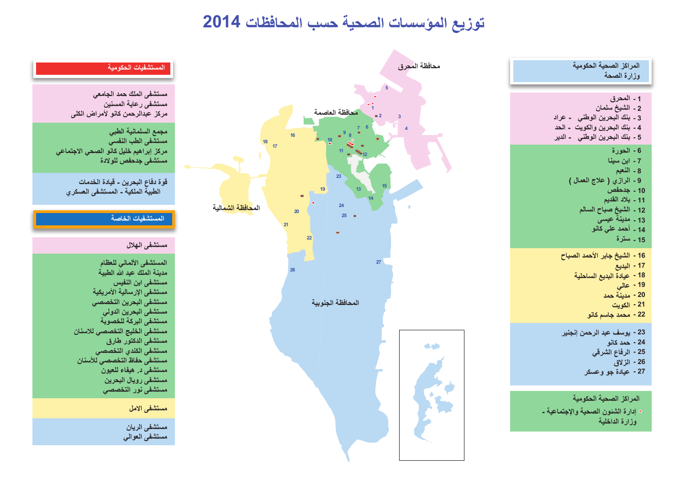# **توزيع المؤسسات الصحية حسب المحافظات 2014**



 **الرفاع الشرقي - 25 الزلاق - 26 عيادة جو وعسكر - 27**

**إدارة الشئون الصحية والإجتماعية - وزارة الداخلية المراكز الصحية الحكومية**



# **المستشفيات الحكومية**

**مستشفى الملك حمد الجامعي مستشفى رعاية المسنين مركز عبدالرحمن كانو لأمراض الكلى**

**مجمع السلمانية الطبي مستشفى الطب النفسي مركز إبراهيم خليل كانو الصحي الاجتماعي مستشفى جدحفص للولادة**

**قوة دفاع البحرين - قيادة الخدمات الطبية الملكية - المستشفى العسكري** 

### **المستشفيات الخاصة**

## **مستشفى الهلال**

**المستشفى الألماني للعظام مدينة الملك عبد الله الطبية مستشفى ابن النفيس مستشفى الإرسالية الأمريكية مستشفى البحرين التخصصي مستشفى البحرين الدولي مستشفى البركة للخصوبة مستشفى الخليج التخصصي للاسنان مستشفى الدكتور طارق مستشفى الكندي التخصصي مستشفى حفاظ التخصصي للأسنان مستشفى د. هيفاء للعيون مستشفى رويال البحرين مستشفى نور التخصصي مستشفى الامل**

> **مستشفى الريان مستشفى العوالي**